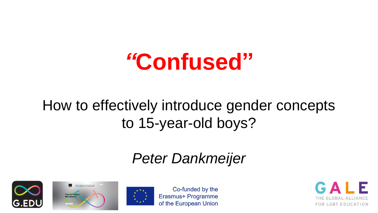# *"***Confused"**

### How to effectively introduce gender concepts to 15-year-old boys?

### *Peter Dankmeijer*







Co-funded by the Erasmus+ Programme of the European Union

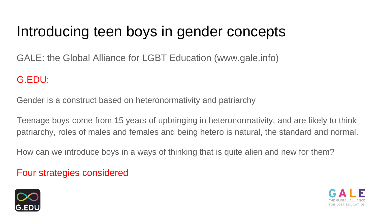### Introducing teen boys in gender concepts

GALE: the Global Alliance for LGBT Education (www.gale.info)

#### G.EDU:

Gender is a construct based on heteronormativity and patriarchy

Teenage boys come from 15 years of upbringing in heteronormativity, and are likely to think patriarchy, roles of males and females and being hetero is natural, the standard and normal.

How can we introduce boys in a ways of thinking that is quite alien and new for them?

#### Four strategies considered



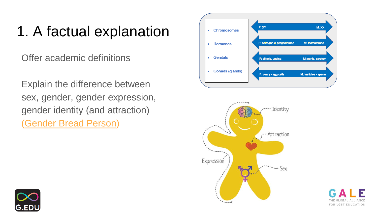## 1. A factual explanation

Offer academic definitions

Explain the difference between sex, gender, gender expression, gender identity (and attraction) ([Gender Bread Person\)](https://www.genderbread.org/)



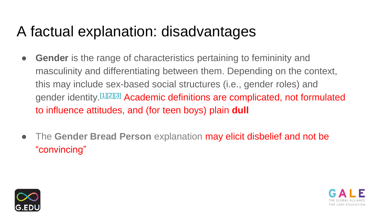### A factual explanation: disadvantages

- **Gender** is the range of characteristics pertaining to femininity and masculinity and differentiating between them. Depending on the context, this may include sex-based social structures (i.e., gender roles) and gender identity.[\[1\]\[2\]\[3\]](https://en.wikipedia.org/wiki/Gender#cite_note-udry-1) Academic definitions are complicated, not formulated to influence attitudes, and (for teen boys) plain **dull**
- The **Gender Bread Person** explanation may elicit disbelief and not be "convincing"



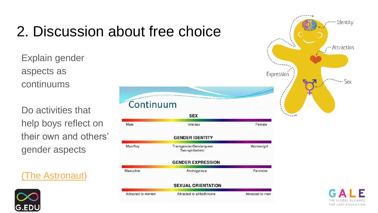## 2. Discussion about free choice

Explain gender aspects as continuums

Do activities that help boys reflect on their own and others' gender aspects

[\(The Astronaut\)](https://www.youtube.com/watch?v=FZWfZdrvyIc)



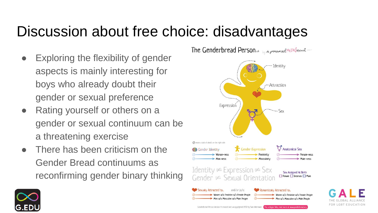### Discussion about free choice: disadvantages

- Exploring the flexibility of gender aspects is mainly interesting for boys who already doubt their gender or sexual preference
- Rating yourself or others on a gender or sexual continuum can be a threatening exercise
- There has been criticism on the Gender Bread continuums as reconfirming gender binary thinking



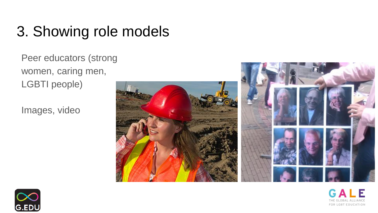### 3. Showing role models

Peer educators (strong women, caring men, LGBTI people)

Images, video







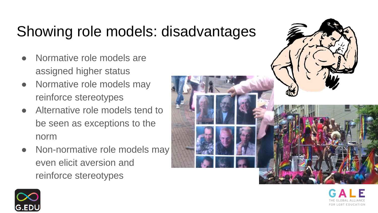## Showing role models: disadvantages

- Normative role models are assigned higher status
- Normative role models may reinforce stereotypes
- Alternative role models tend to be seen as exceptions to the norm
- Non-normative role models may even elicit aversion and reinforce stereotypes



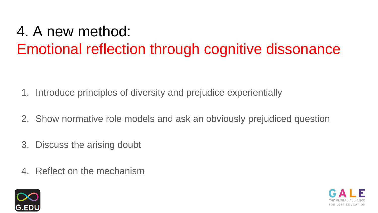## 4. A new method: Emotional reflection through cognitive dissonance

- 1. Introduce principles of diversity and prejudice experientially
- 2. Show normative role models and ask an obviously prejudiced question
- 3. Discuss the arising doubt
- 4. Reflect on the mechanism



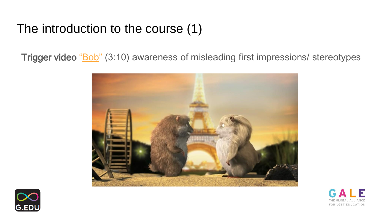#### The introduction to the course (1)

Trigger video "[Bob](https://vimeo.com/25845008)" (3:10) awareness of misleading first impressions/ stereotypes





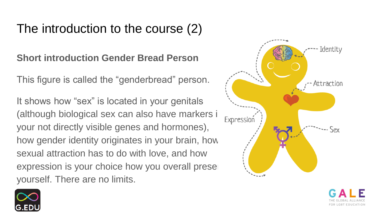#### The introduction to the course (2)

**Short introduction Gender Bread Person**

This figure is called the "genderbread" person.

It shows how "sex" is located in your genitals (although biological sex can also have markers i  $\frac{1}{\text{Expression}}$ your not directly visible genes and hormones), how gender identity originates in your brain, how sexual attraction has to do with love, and how expression is your choice how you overall present yourself. There are no limits.





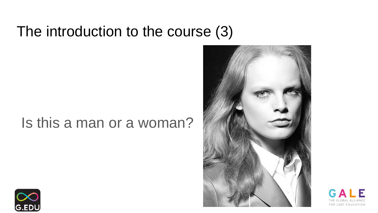### The introduction to the course (3)

#### Is this a man or a woman?





GALF FOR LGBT EDUCATION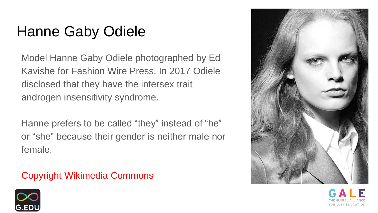## Hanne Gaby Odiele

Model Hanne Gaby Odiele photographed by Ed Kavishe for Fashion Wire Press. In 2017 Odiele disclosed that they have the intersex trait androgen insensitivity syndrome.

Hanne prefers to be called "they" instead of "he" or "she" because their gender is neither male nor female.

#### Copyright Wikimedia Commons



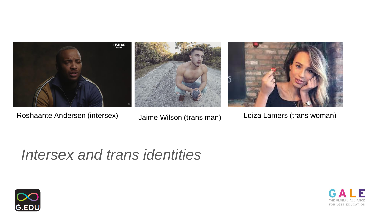

Roshaante Andersen (intersex) Jaime Wilson (trans man) Loiza Lamers (trans woman)

### *Intersex and trans identities*



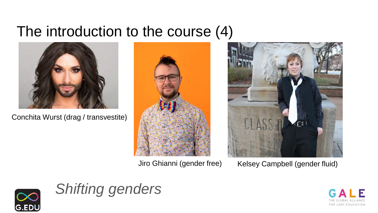### The introduction to the course (4)



Conchita Wurst (drag / transvestite)





Jiro Ghianni (gender free) Kelsey Campbell (gender fluid)





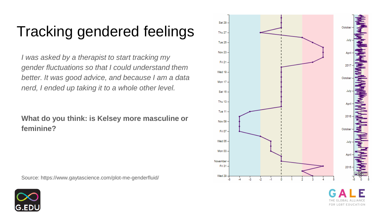## Tracking gendered feelings

*I was asked by a therapist to start tracking my gender fluctuations so that I could understand them better. It was good advice, and because I am a data nerd, I ended up taking it to a whole other level.*

#### **What do you think: is Kelsey more masculine or feminine?**

Source: https://www.gaytascience.com/plot-me-genderfluid/



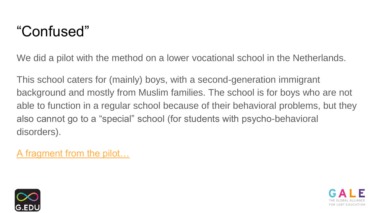### "Confused"

We did a pilot with the method on a lower vocational school in the Netherlands.

This school caters for (mainly) boys, with a second-generation immigrant background and mostly from Muslim families. The school is for boys who are not able to function in a regular school because of their behavioral problems, but they also cannot go to a "special" school (for students with psycho-behavioral disorders).

[A fragment from the pilot…](https://youtu.be/V4NF2b_5vbk)



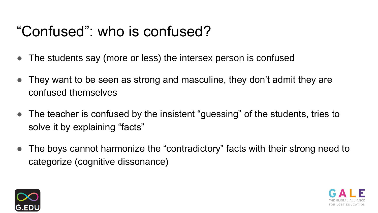### "Confused": who is confused?

- The students say (more or less) the intersex person is confused
- They want to be seen as strong and masculine, they don't admit they are confused themselves
- The teacher is confused by the insistent "guessing" of the students, tries to solve it by explaining "facts"
- The boys cannot harmonize the "contradictory" facts with their strong need to categorize (cognitive dissonance)